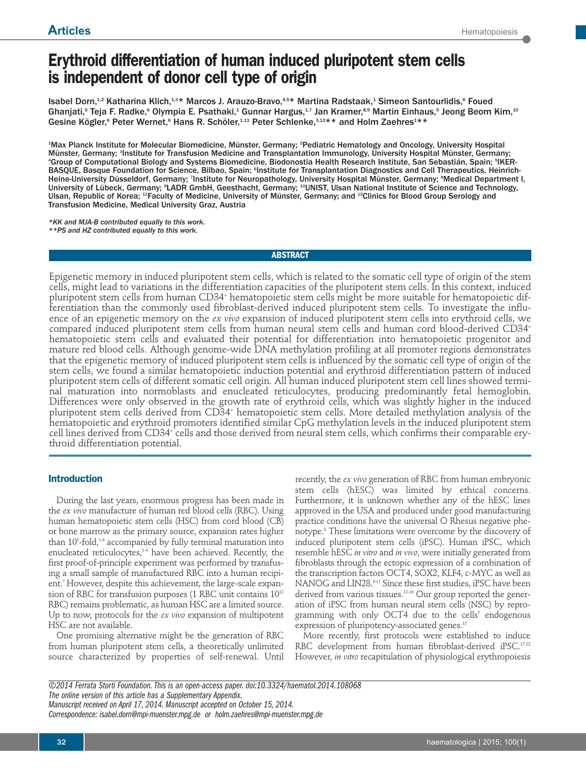# **Erythroid differentiation of human induced pluripotent stem cells is independent of donor cell type of origin**

Isabel Dorn,<sup>1,2</sup> Katharina Klich,<sup>1,3</sup>\* Marcos J. Arauzo-Bravo,<sup>4,5</sup>\* Martina Radstaak,<sup>1</sup> Simeon Santourlidis,<sup>6</sup> Foued Ghanjati,<sup>6</sup> Teja F. Radke,<sup>6</sup> Olympia E. Psathaki,<sup>1</sup> Gunnar Hargus,<sup>1,7</sup> Jan Kramer,<sup>8,9</sup> Martin Einhaus,<sup>9</sup> Jeong Beom Kim,<sup>10</sup> Gesine Kögler, $^6$  Peter Wernet, $^6$  Hans R. Schöler, $^{1.11}$  Peter Schlenke, $^{3.12\star\star}$  and Holm Zaehres $^{1\star\star}$ 

1 Max Planck Institute for Molecular Biomedicine, Münster, Germany; 2 Pediatric Hematology and Oncology, University Hospital Münster, Germany; <sup>s</sup>Institute for Transfusion Medicine and Transplantation Immunology, University Hospital Münster, Germany; 4 Group of Computational Biology and Systems Biomedicine, Biodonostia Health Research Institute, San Sebastián, Spain; 5 IKER-BASQUE, Basque Foundation for Science, Bilbao, Spain; <sup>s</sup>Institute for Transplantation Diagnostics and Cell Therapeutics, Heinrich-Heine-University Düsseldorf, Germany; <sup>7</sup>Institute for Neuropathology, University Hospital Münster, Germany; <sup>s</sup>Medical Department I, University of Lübeck, Germany; °LADR GmbH, Geesthacht, Germany; <sup>10</sup>UNIST, Ulsan National Institute of Science and Technology, Ulsan, Republic of Korea; <sup>11</sup>Faculty of Medicine, University of Münster, Germany; and <sup>12</sup>Clinics for Blood Group Serology and Transfusion Medicine, Medical University Graz, Austria

*\*KK and MJA-B contributed equally to this work. \*\*PS and HZ contributed equally to this work.*

**ABSTRACT**

Epigenetic memory in induced pluripotent stem cells, which is related to the somatic cell type of origin of the stem cells, might lead to variations in the differentiation capacities of the pluripotent stem cells. In this context, induced pluripotent stem cells from human CD34+ hematopoietic stem cells might be more suitable for hematopoietic differentiation than the commonly used fibroblast-derived induced pluripotent stem cells. To investigate the influence of an epigenetic memory on the *ex vivo* expansion of induced pluripotent stem cells into erythroid cells, we compared induced pluripotent stem cells from human neural stem cells and human cord blood-derived CD34+ hematopoietic stem cells and evaluated their potential for differentiation into hematopoietic progenitor and mature red blood cells. Although genome-wide DNA methylation profiling at all promoter regions demonstrates that the epigenetic memory of induced pluripotent stem cells is influenced by the somatic cell type of origin of the stem cells, we found a similar hematopoietic induction potential and erythroid differentiation pattern of induced pluripotent stem cells of different somatic cell origin. All human induced pluripotent stem cell lines showed terminal maturation into normoblasts and enucleated reticulocytes, producing predominantly fetal hemoglobin. Differences were only observed in the growth rate of erythroid cells, which was slightly higher in the induced pluripotent stem cells derived from CD34+ hematopoietic stem cells. More detailed methylation analysis of the hematopoietic and erythroid promoters identified similar CpG methylation levels in the induced pluripotent stem cell lines derived from CD34+ cells and those derived from neural stem cells, which confirms their comparable erythroid differentiation potential.

## **Introduction**

During the last years, enormous progress has been made in the *ex vivo* manufacture of human red blood cells (RBC). Using human hematopoietic stem cells (HSC) from cord blood (CB) or bone marrow as the primary source, expansion rates higher than 10 $^{\circ}$ -fold, $^{16}$  accompanied by fully terminal maturation into enucleated reticulocytes,<sup>14</sup> have been achieved. Recently, the first proof-of-principle experiment was performed by transfusing a small sample of manufactured RBC into a human recipient.7 However, despite this achievement, the large-scale expansion of RBC for transfusion purposes (1 RBC unit contains  $10^{12}$ RBC) remains problematic, as human HSC are a limited source. Up to now, protocols for the *ex vivo* expansion of multipotent HSC are not available.

One promising alternative might be the generation of RBC from human pluripotent stem cells, a theoretically unlimited source characterized by properties of self-renewal. Until recently, the *ex vivo* generation of RBC from human embryonic stem cells (hESC) was limited by ethical concerns. Furthermore, it is unknown whether any of the hESC lines approved in the USA and produced under good manufacturing practice conditions have the universal O Rhesus negative phenotype.8 These limitations were overcome by the discovery of induced pluripotent stem cells (iPSC). Human iPSC, which resemble hESC *in vitro* and *in vivo*, were initially generated from fibroblasts through the ectopic expression of a combination of the transcription factors OCT4, SOX2, KLF4, c-MYC as well as NANOG and LIN28.9-11 Since these first studies, iPSC have been derived from various tissues.<sup>12-16</sup> Our group reported the generation of iPSC from human neural stem cells (NSC) by reprogramming with only OCT4 due to the cells' endogenous expression of pluripotency-associated genes.<sup>15</sup>

More recently, first protocols were established to induce RBC development from human fibroblast-derived iPSC.<sup>17-22</sup> However, *in vitro* recapitulation of physiological erythropoiesis

*©2014 Ferrata Storti Foundation. This is an open-access paper. doi:10.3324/haematol.2014.108068 The online version of this article has a Supplementary Appendix. Manuscript received on April 17, 2014. Manuscript accepted on October 15, 2014. Correspondence: isabel.dorn@mpi-muenster.mpg.de or holm.zaehres@mpi-muenster.mpg.de*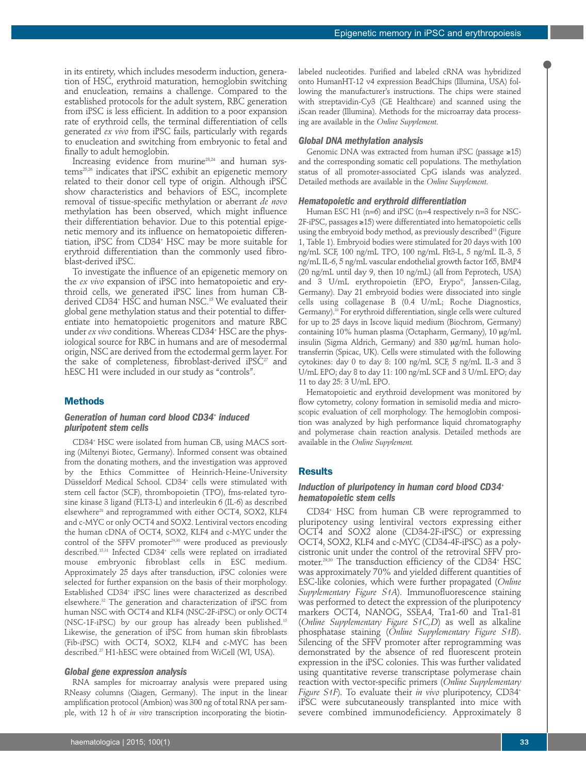in its entirety, which includes mesoderm induction, generation of HSC, erythroid maturation, hemoglobin switching and enucleation, remains a challenge. Compared to the established protocols for the adult system, RBC generation from iPSC is less efficient. In addition to a poor expansion rate of erythroid cells, the terminal differentiation of cells generated *ex vivo* from iPSC fails, particularly with regards to enucleation and switching from embryonic to fetal and finally to adult hemoglobin.

Increasing evidence from murine23,24 and human systems<sup>25,26</sup> indicates that iPSC exhibit an epigenetic memory related to their donor cell type of origin. Although iPSC show characteristics and behaviors of ESC, incomplete removal of tissue-specific methylation or aberrant *de novo* methylation has been observed, which might influence their differentiation behavior. Due to this potential epigenetic memory and its influence on hematopoietic differentiation, iPSC from CD34+ HSC may be more suitable for erythroid differentiation than the commonly used fibroblast-derived iPSC.

To investigate the influence of an epigenetic memory on the *ex vivo* expansion of iPSC into hematopoietic and erythroid cells, we generated iPSC lines from human CBderived CD34+ HSC and human NSC.15 We evaluated their global gene methylation status and their potential to differentiate into hematopoietic progenitors and mature RBC under *ex vivo* conditions. Whereas CD34+ HSC are the physiological source for RBC in humans and are of mesodermal origin, NSC are derived from the ectodermal germ layer. For the sake of completeness, fibroblast-derived iPSC<sup>27</sup> and hESC H1 were included in our study as "controls".

#### **Methods**

## *Generation of human cord blood CD34+ induced pluripotent stem cells*

CD34+ HSC were isolated from human CB, using MACS sorting (Miltenyi Biotec, Germany). Informed consent was obtained from the donating mothers, and the investigation was approved by the Ethics Committee of Heinrich-Heine-University Düsseldorf Medical School. CD34+ cells were stimulated with stem cell factor (SCF), thrombopoietin (TPO), fms-related tyrosine kinase 3 ligand (FLT3-L) and interleukin 6 (IL-6) as described elsewhere<sup>28</sup> and reprogrammed with either OCT4, SOX2, KLF4 and c-MYC or only OCT4 and SOX2. Lentiviral vectors encoding the human cDNA of OCT4, SOX2, KLF4 and c-MYC under the control of the SFFV promoter<sup>29,30</sup> were produced as previously described.<sup>15,31</sup> Infected CD34<sup>+</sup> cells were replated on irradiated mouse embryonic fibroblast cells in ESC medium. Approximately 25 days after transduction, iPSC colonies were selected for further expansion on the basis of their morphology. Established CD34+ iPSC lines were characterized as described elsewhere.32 The generation and characterization of iPSC from human NSC with OCT4 and KLF4 (NSC-2F-iPSC) or only OCT4 (NSC-1F-iPSC) by our group has already been published.15 Likewise, the generation of iPSC from human skin fibroblasts (Fib-iPSC) with OCT4, SOX2, KLF4 and c-MYC has been described.27 H1-hESC were obtained from WiCell (WI, USA).

#### *Global gene expression analysis*

RNA samples for microarray analysis were prepared using RNeasy columns (Qiagen, Germany). The input in the linear amplification protocol (Ambion) was 300 ng of total RNA per sample, with 12 h of *in vitro* transcription incorporating the biotinlabeled nucleotides. Purified and labeled cRNA was hybridized onto HumanHT-12 v4 expression BeadChips (Illumina, USA) following the manufacturer's instructions. The chips were stained with streptavidin-Cy3 (GE Healthcare) and scanned using the iScan reader (Illumina). Methods for the microarray data processing are available in the *Online Supplement*.

# *Global DNA methylation analysis*

Genomic DNA was extracted from human iPSC (passage ≥15) and the corresponding somatic cell populations. The methylation status of all promoter-associated CpG islands was analyzed. Detailed methods are available in the *Online Supplement*.

#### *Hematopoietic and erythroid differentiation*

Human ESC H1 (n=6) and iPSC (n=4 respectively n=3 for NSC-2F-iPSC, passages ≥15) were differentiated into hematopoietic cells using the embryoid body method, as previously described<sup>18</sup> (Figure 1, Table 1). Embryoid bodies were stimulated for 20 days with 100 ng/mL SCF, 100 ng/mL TPO, 100 ng/mL Flt3-L, 5 ng/mL IL-3, 5 ng/mL IL-6, 5 ng/mL vascular endothelial growth factor 165, BMP4 (20 ng/mL until day 9, then 10 ng/mL) (all from Peprotech, USA) and 3 U/mL erythropoietin (EPO, Erypo®, Janssen-Cilag, Germany). Day 21 embryoid bodies were dissociated into single cells using collagenase B (0.4 U/mL; Roche Diagnostics, Germany).<sup>33</sup> For erythroid differentiation, single cells were cultured for up to 25 days in Iscove liquid medium (Biochrom, Germany) containing 10% human plasma (Octapharm, Germany), 10 μg/mL insulin (Sigma Aldrich, Germany) and 330 μg/mL human holotransferrin (Spicac, UK). Cells were stimulated with the following cytokines: day 0 to day 8: 100 ng/mL SCF, 5 ng/mL IL-3 and 3 U/mL EPO; day 8 to day 11: 100 ng/mL SCF and 3 U/mL EPO; day 11 to day 25: 3 U/mL EPO.

Hematopoietic and erythroid development was monitored by flow cytometry, colony formation in semisolid media and microscopic evaluation of cell morphology. The hemoglobin composition was analyzed by high performance liquid chromatography and polymerase chain reaction analysis. Detailed methods are available in the *Online Supplement.*

## **Results**

## *Induction of pluripotency in human cord blood CD34+ hematopoietic stem cells*

CD34+ HSC from human CB were reprogrammed to pluripotency using lentiviral vectors expressing either OCT4 and SOX2 alone (CD34-2F-iPSC) or expressing OCT4, SOX2, KLF4 and c-MYC (CD34-4F-iPSC) as a polycistronic unit under the control of the retroviral SFFV promoter.29,30 The transduction efficiency of the CD34+ HSC was approximately 70% and yielded different quantities of ESC-like colonies, which were further propagated (*Online Supplementary Figure S1A*). Immunofluorescence staining was performed to detect the expression of the pluripotency markers OCT4, NANOG, SSEA4, Tra1-60 and Tra1-81 (*Online Supplementary Figure S1C,D*) as well as alkaline phosphatase staining (*Online Supplementary Figure S1B*). Silencing of the SFFV promoter after reprogramming was demonstrated by the absence of red fluorescent protein expression in the iPSC colonies. This was further validated using quantitative reverse transcriptase polymerase chain reaction with vector-specific primers (*Online Supplementary Figure S1F*). To evaluate their *in vivo* pluripotency, CD34+ iPSC were subcutaneously transplanted into mice with severe combined immunodeficiency. Approximately 8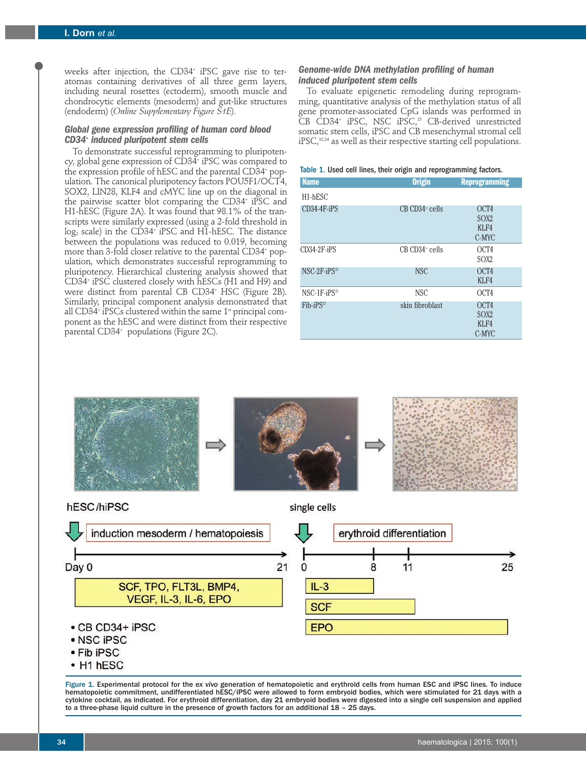weeks after injection, the CD34<sup>+</sup> iPSC gave rise to teratomas containing derivatives of all three germ layers, including neural rosettes (ectoderm), smooth muscle and chondrocytic elements (mesoderm) and gut-like structures (endoderm) (*Online Supplementary Figure S1E*).

# *Global gene expression profiling of human cord blood CD34+ induced pluripotent stem cells*

To demonstrate successful reprogramming to pluripotency, global gene expression of CD34+ iPSC was compared to the expression profile of hESC and the parental CD34+ population. The canonical pluripotency factors POU5F1/OCT4, SOX2, LIN28, KLF4 and cMYC line up on the diagonal in the pairwise scatter blot comparing the CD34<sup>+</sup> iPSC and H1-hESC (Figure 2A). It was found that 98.1% of the transcripts were similarly expressed (using a 2-fold threshold in  $log_2$  scale) in the CD34<sup>+</sup> iPSC and H1-hESC. The distance between the populations was reduced to 0.019, becoming more than 3-fold closer relative to the parental CD34+ population, which demonstrates successful reprogramming to pluripotency. Hierarchical clustering analysis showed that CD34+ iPSC clustered closely with hESCs (H1 and H9) and were distinct from parental CB CD34+ HSC (Figure 2B). Similarly, principal component analysis demonstrated that all CD34+ iPSCs clustered within the same  $1<sup>st</sup>$  principal component as the hESC and were distinct from their respective parental CD34<sup>+</sup> populations (Figure 2C).

# *Genome-wide DNA methylation profiling of human induced pluripotent stem cells*

To evaluate epigenetic remodeling during reprogramming, quantitative analysis of the methylation status of all gene promoter-associated CpG islands was performed in CB CD34+ iPSC, NSC iPSC,15 CB-derived unrestricted somatic stem cells, iPSC and CB mesenchymal stromal cell iPSC,<sup>32,34</sup> as well as their respective starting cell populations.

|  | Table 1. Used cell lines, their origin and reprogramming factors. |
|--|-------------------------------------------------------------------|
|--|-------------------------------------------------------------------|

| <b>Name</b>    | <b>Origin</b>              | <b>Reprogramming</b> |
|----------------|----------------------------|----------------------|
| H1-hESC        |                            |                      |
| CD34-4F-iPS    | CB CD34 <sup>+</sup> cells | OCT4                 |
|                |                            | SOX <sub>2</sub>     |
|                |                            | KLF4                 |
|                |                            | C-MYC                |
| $CD34-2F-iPS$  | $CB$ CD34 $+$ cells        | OCT4                 |
|                |                            | SO <sub>X2</sub>     |
| $NSC-2F-iPS15$ | <b>NSC</b>                 | OCT4                 |
|                |                            | KLF4                 |
| $NSC-1F-iPS15$ | NSC <sup>.</sup>           | OCT4                 |
| $Fib-iPS27$    | skin fibroblast            | OCT4                 |
|                |                            | SO <sub>X2</sub>     |
|                |                            | KLF4                 |
|                |                            | C-MYC                |



Figure 1. Experimental protocol for the *ex vivo* generation of hematopoietic and erythroid cells from human ESC and iPSC lines. To induce hematopoietic commitment, undifferentiated hESC/iPSC were allowed to form embryoid bodies, which were stimulated for 21 days with a cytokine cocktail, as indicated. For erythroid differentiation, day 21 embryoid bodies were digested into a single cell suspension and applied to a three-phase liquid culture in the presence of growth factors for an additional 18 – 25 days.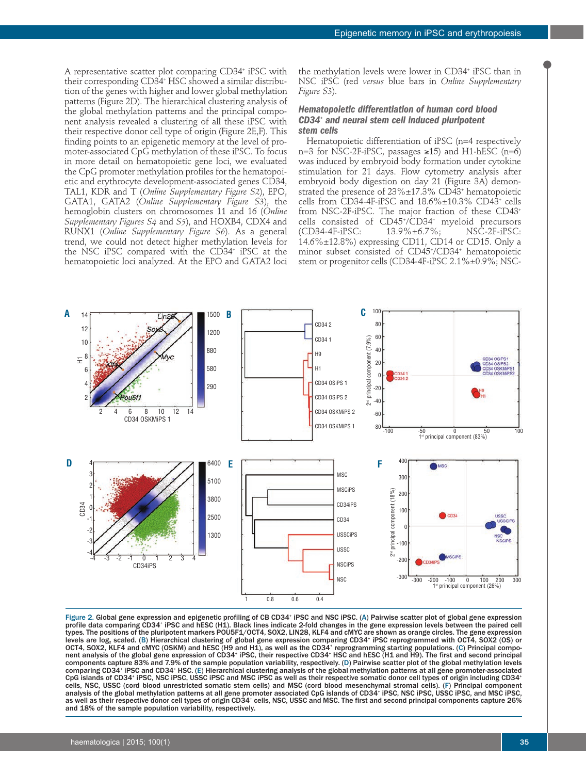A representative scatter plot comparing CD34+ iPSC with their corresponding CD34+ HSC showed a similar distribution of the genes with higher and lower global methylation patterns (Figure 2D). The hierarchical clustering analysis of the global methylation patterns and the principal component analysis revealed a clustering of all these iPSC with their respective donor cell type of origin (Figure 2E,F). This finding points to an epigenetic memory at the level of promoter-associated CpG methylation of these iPSC. To focus in more detail on hematopoietic gene loci, we evaluated the CpG promoter methylation profiles for the hematopoietic and erythrocyte development-associated genes CD34, TAL1, KDR and T (*Online Supplementary Figure S2*), EPO, GATA1, GATA2 (*Online Supplementary Figure S3*), the hemoglobin clusters on chromosomes 11 and 16 (*Online Supplementary Figures S4* and *S5*), and HOXB4, CDX4 and RUNX1 (*Online Supplementary Figure S6*). As a general trend, we could not detect higher methylation levels for the NSC iPSC compared with the CD34+ iPSC at the hematopoietic loci analyzed. At the EPO and GATA2 loci the methylation levels were lower in CD34+ iPSC than in NSC iPSC (red *versus* blue bars in *Online Supplementary Figure S3*).

## *Hematopoietic differentiation of human cord blood CD34+ and neural stem cell induced pluripotent stem cells*

Hematopoietic differentiation of iPSC (n=4 respectively n=3 for NSC-2F-iPSC, passages  $\geq$ 15) and H1-hESC (n=6) was induced by embryoid body formation under cytokine stimulation for 21 days. Flow cytometry analysis after embryoid body digestion on day 21 (Figure 3A) demonstrated the presence of 23%±17.3% CD43+ hematopoietic cells from CD34-4F-iPSC and 18.6%±10.3% CD43+ cells from NSC-2F-iPSC. The major fraction of these CD43+ cells consisted of CD45+ /CD34– myeloid precursors (CD34-4F-iPSC: 13.9%±6.7%; NSC-2F-iPSC: 14.6%±12.8%) expressing CD11, CD14 or CD15. Only a minor subset consisted of CD45+ /CD34+ hematopoietic stem or progenitor cells (CD34-4F-iPSC 2.1%±0.9%; NSC-



Figure 2. Global gene expression and epigenetic profiling of CB CD34<sup>+</sup> iPSC and NSC iPSC. (A) Pairwise scatter plot of global gene expression profile data comparing CD34<sup>+</sup> iPSC and hESC (H1). Black lines indicate 2-fold changes in the gene expression levels between the paired cell types. The positions of the pluripotent markers POU5F1/OCT4, SOX2, LIN28, KLF4 and cMYC are shown as orange circles. The gene expression levels are log<sub>2</sub> scaled. (B) Hierarchical clustering of global gene expression comparing CD34<sup>+</sup> iPSC reprogrammed with OCT4, SOX2 (OS) or OCT4, SOX2, KLF4 and cMYC (OSKM) and hESC (H9 and H1), as well as the CD34+ reprogramming starting populations. (C) Principal component analysis of the global gene expression of CD34+ iPSC, their respective CD34+ HSC and hESC (H1 and H9). The first and second principal components capture 83% and 7.9% of the sample population variability, respectively. (D) Pairwise scatter plot of the global methylation levels comparing CD34+ iPSC and CD34+ HSC. (E) Hierarchical clustering analysis of the global methylation patterns at all gene promoter-associated CpG islands of CD34+ iPSC, NSC iPSC, USSC iPSC and MSC iPSC as well as their respective somatic donor cell types of origin including CD34+ cells, NSC, USSC (cord blood unrestricted somatic stem cells) and MSC (cord blood mesenchymal stromal cells). (F) Principal component analysis of the global methylation patterns at all gene promoter associated CpG islands of CD34+ iPSC, NSC iPSC, USSC iPSC, and MSC iPSC, as well as their respective donor cell types of origin CD34+ cells, NSC, USSC and MSC. The first and second principal components capture 26% and 18% of the sample population variability, respectively.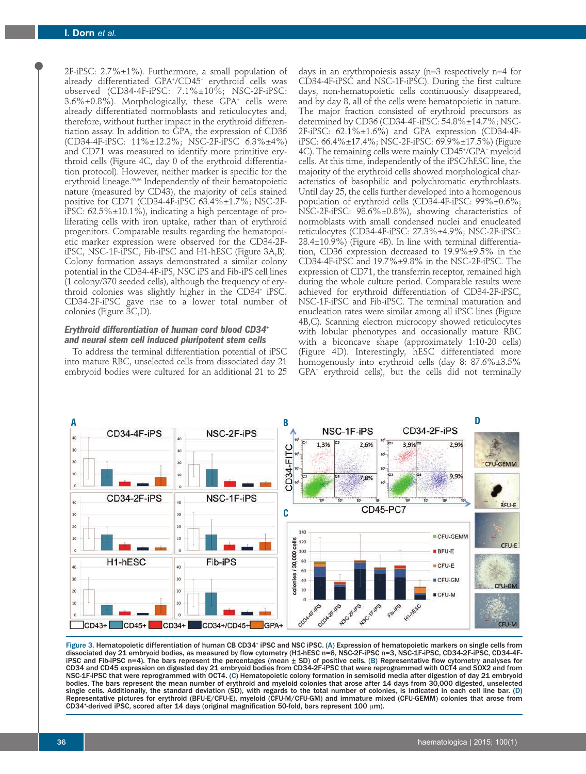2F-iPSC: 2.7%±1%). Furthermore, a small population of already differentiated GPA+ /CD45– erythroid cells was observed (CD34-4F-iPSC: 7.1%±10%; NSC-2F-iPSC:  $3.6\% \pm 0.8\%$ ). Morphologically, these GPA<sup>+</sup> cells were already differentiated normoblasts and reticulocytes and, therefore, without further impact in the erythroid differentiation assay. In addition to GPA, the expression of CD36 (CD34-4F-iPSC: 11%±12.2%; NSC-2F-iPSC 6.3%±4%) and CD71 was measured to identify more primitive erythroid cells (Figure 4C, day 0 of the erythroid differentiation protocol). However, neither marker is specific for the erythroid lineage.35,36 Independently of their hematopoietic nature (measured by CD43), the majority of cells stained positive for CD71 (CD34-4F-iPSC 63.4%±1.7%; NSC-2FiPSC: 62.5%±10.1%), indicating a high percentage of proliferating cells with iron uptake, rather than of erythroid progenitors. Comparable results regarding the hematopoietic marker expression were observed for the CD34-2FiPSC, NSC-1F-iPSC, Fib-iPSC and H1-hESC (Figure 3A,B). Colony formation assays demonstrated a similar colony potential in the CD34-4F-iPS, NSC iPS and Fib-iPS cell lines (1 colony/370 seeded cells), although the frequency of erythroid colonies was slightly higher in the CD34+ iPSC. CD34-2F-iPSC gave rise to a lower total number of colonies (Figure 3C,D).

## *Erythroid differentiation of human cord blood CD34+ and neural stem cell induced pluripotent stem cells*

To address the terminal differentiation potential of iPSC into mature RBC, unselected cells from dissociated day 21 embryoid bodies were cultured for an additional 21 to 25 days in an erythropoiesis assay (n=3 respectively n=4 for CD34-4F-iPSC and NSC-1F-iPSC). During the first culture days, non-hematopoietic cells continuously disappeared, and by day 8, all of the cells were hematopoietic in nature. The major fraction consisted of erythroid precursors as determined by CD36 (CD34-4F-iPSC: 54.8%±14.7%; NSC-2F-iPSC:  $62.1\% \pm 1.6\%$  and GPA expression (CD34-4FiPSC: 66.4%±17.4%; NSC-2F-iPSC: 69.9%±17.5%) (Figure 4C). The remaining cells were mainly CD45+ /GPA– myeloid cells. At this time, independently of the iPSC/hESC line, the majority of the erythroid cells showed morphological characteristics of basophilic and polychromatic erythroblasts. Until day 25, the cells further developed into a homogenous population of erythroid cells (CD34-4F-iPSC: 99%±0.6%; NSC-2F-iPSC: 98.6%±0.8%), showing characteristics of normoblasts with small condensed nuclei and enucleated reticulocytes (CD34-4F-iPSC: 27.3%±4.9%; NSC-2F-iPSC:  $28.4\pm10.9\%$ ) (Figure 4B). In line with terminal differentiation, CD36 expression decreased to 19.9%±9.5% in the CD34-4F-iPSC and 19.7%±9.8% in the NSC-2F-iPSC. The expression of CD71, the transferrin receptor, remained high during the whole culture period. Comparable results were achieved for erythroid differentiation of CD34-2F-iPSC, NSC-1F-iPSC and Fib-iPSC. The terminal maturation and enucleation rates were similar among all iPSC lines (Figure 4B,C). Scanning electron microcopy showed reticulocytes with lobular phenotypes and occasionally mature RBC with a biconcave shape (approximately 1:10-20 cells) (Figure 4D). Interestingly, hESC differentiated more homogenously into erythroid cells (day 8: 87.6%±3.5% GPA+ erythroid cells), but the cells did not terminally



Figure 3. Hematopoietic differentiation of human CB CD34\* iPSC and NSC iPSC. (A) Expression of hematopoietic markers on single cells from dissociated day 21 embryoid bodies, as measured by flow cytometry (H1-hESC n=6, NSC-2F-iPSC n=3, NSC-1F-iPSC, CD34-2F-iPSC, CD34-4FiPSC and Fib-iPSC n=4). The bars represent the percentages (mean ± SD) of positive cells. (B) Representative flow cytometry analyses for CD34 and CD45 expression on digested day 21 embryoid bodies from CD34-2F-iPSC that were reprogrammed with OCT4 and SOX2 and from NSC-1F-iPSC that were reprogrammed with OCT4. (C) Hematopoietic colony formation in semisolid media after digestion of day 21 embryoid bodies. The bars represent the mean number of erythroid and myeloid colonies that arose after 14 days from 30,000 digested, unselected single cells. Additionally, the standard deviation (SD), with regards to the total number of colonies, is indicated in each cell line bar. (D) Representative pictures for erythroid (BFU-E/CFU-E), myeloid (CFU-M/CFU-GM) and immature mixed (CFU-GEMM) colonies that arose from CD34\*-derived iPSC, scored after 14 days (original magnification 50-fold, bars represent 100  $\mu$ m).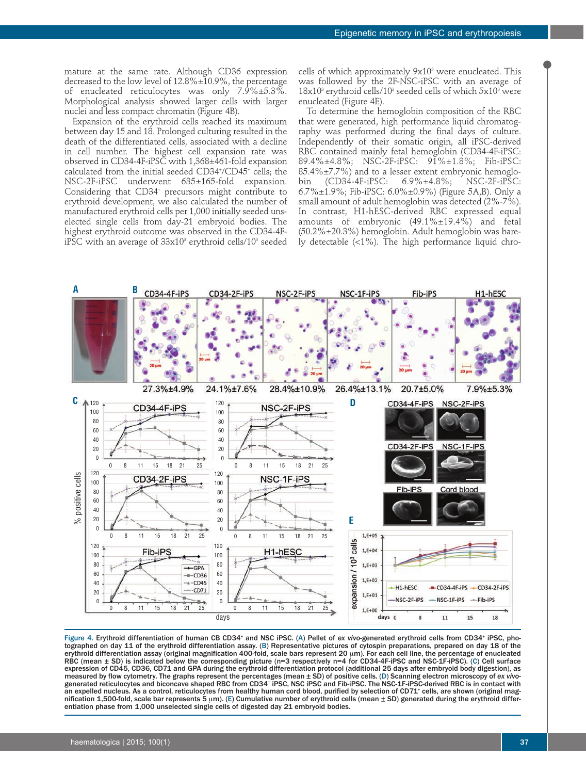mature at the same rate. Although CD36 expression decreased to the low level of  $12.8\% \pm 10.9\%$ , the percentage of enucleated reticulocytes was only 7.9%±5.3%. Morphological analysis showed larger cells with larger nuclei and less compact chromatin (Figure 4B).

Expansion of the erythroid cells reached its maximum between day 15 and 18. Prolonged culturing resulted in the death of the differentiated cells, associated with a decline in cell number. The highest cell expansion rate was observed in CD34-4F-iPSC with 1,368±461-fold expansion calculated from the initial seeded CD34+ /CD45+ cells; the NSC-2F-iPSC underwent 635±165-fold expansion. Considering that CD34– precursors might contribute to erythroid development, we also calculated the number of manufactured erythroid cells per 1,000 initially seeded unselected single cells from day-21 embryoid bodies. The highest erythroid outcome was observed in the CD34-4FiPSC with an average of  $33x10^3$  erythroid cells/10<sup>3</sup> seeded

cells of which approximately  $9x10^3$  were enucleated. This was followed by the 2F-NSC-iPSC with an average of  $18x10^3$  erythroid cells/10<sup>3</sup> seeded cells of which  $5x10^3$  were enucleated (Figure 4E).

To determine the hemoglobin composition of the RBC that were generated, high performance liquid chromatography was performed during the final days of culture. Independently of their somatic origin, all iPSC-derived RBC contained mainly fetal hemoglobin (CD34-4F-iPSC: 89.4%±4.8%; NSC-2F-iPSC: 91%±1.8%; Fib-iPSC: 85.4%±7.7%) and to a lesser extent embryonic hemoglobin (CD34-4F-iPSC: 6.9%±4.8%; NSC-2F-iPSC: bin (CD34-4F-iPSC: 6.9%±4.8%; NSC-2F-iPSC: 6.7%±1.9%; Fib-iPSC: 6.0%±0.9%) (Figure 5A,B). Only a small amount of adult hemoglobin was detected (2%-7%). In contrast, H1-hESC-derived RBC expressed equal amounts of embryonic  $(49.1\% \pm 19.4\%)$  and fetal (50.2%±20.3%) hemoglobin. Adult hemoglobin was barely detectable  $\langle$ <1%). The high performance liquid chro-



Figure 4. Erythroid differentiation of human CB CD34<sup>+</sup> and NSC iPSC. (A) Pellet of ex vivo-generated erythroid cells from CD34<sup>+</sup> iPSC, photographed on day 11 of the erythroid differentiation assay. (B) Representative pictures of cytospin preparations, prepared on day 18 of the erythroid differentiation assay (original magnification 400-fold, scale bars represent 20 µm). For each cell line, the percentage of enucleated<br>RBC (mean ± SD) is indicated below the corresponding picture (n=3 respectively expression of CD45, CD36, CD71 and GPA during the erythroid differentiation protocol (additional 25 days after embryoid body digestion), as measured by flow cytometry. The graphs represent the percentages (mean ± SD) of positive cells. (D) Scanning electron microscopy of *ex vivo*generated reticulocytes and biconcave shaped RBC from CD34+ iPSC, NSC iPSC and Fib-iPSC. The NSC-1F-iPSC-derived RBC is in contact with an expelled nucleus. As a control, reticulocytes from healthy human cord blood, purified by selection of CD71<sup>+</sup> cells, are shown (original magnification 1,500-fold, scale bar represents 5  $\mu$ m). (E) Cumulative number of erythroid cells (mean  $\pm$  SD) generated during the erythroid differentiation phase from 1,000 unselected single cells of digested day 21 embryoid bodies.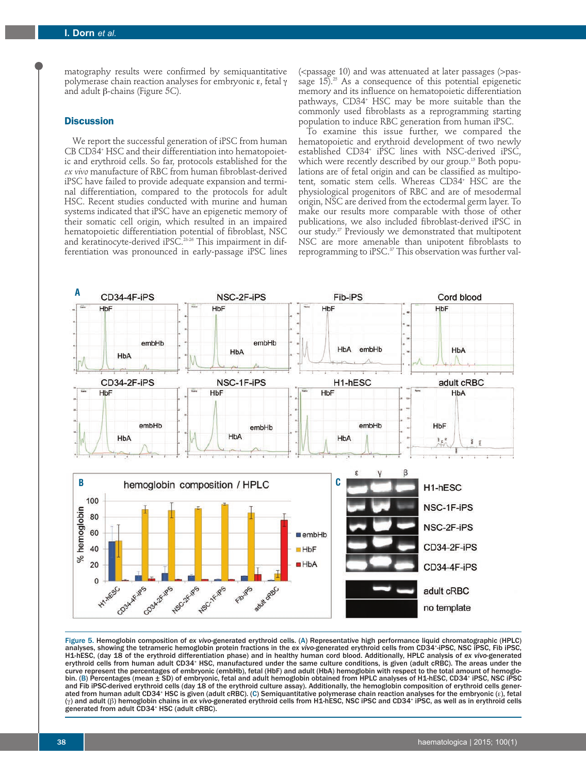matography results were confirmed by semiquantitative polymerase chain reaction analyses for embryonic ε, fetal γ and adult β-chains (Figure 5C).

## **Discussion**

We report the successful generation of iPSC from human CB CD34<sup>+</sup> HSC and their differentiation into hematopoietic and erythroid cells. So far, protocols established for the *ex vivo* manufacture of RBC from human fibroblast-derived iPSC have failed to provide adequate expansion and terminal differentiation, compared to the protocols for adult HSC. Recent studies conducted with murine and human systems indicated that iPSC have an epigenetic memory of their somatic cell origin, which resulted in an impaired hematopoietic differentiation potential of fibroblast, NSC and keratinocyte-derived iPSC.23-26 This impairment in differentiation was pronounced in early-passage iPSC lines

(<passage 10) and was attenuated at later passages (>passage  $15$ ).<sup>25</sup> As a consequence of this potential epigenetic memory and its influence on hematopoietic differentiation pathways, CD34<sup>+</sup> HSC may be more suitable than the commonly used fibroblasts as a reprogramming starting population to induce RBC generation from human iPSC.

To examine this issue further, we compared the hematopoietic and erythroid development of two newly established CD34+ iPSC lines with NSC-derived iPSC, which were recently described by our group.<sup>15</sup> Both populations are of fetal origin and can be classified as multipotent, somatic stem cells. Whereas CD34<sup>+</sup> HSC are the physiological progenitors of RBC and are of mesodermal origin, NSC are derived from the ectodermal germ layer. To make our results more comparable with those of other publications, we also included fibroblast-derived iPSC in our study.<sup>27</sup> Previously we demonstrated that multipotent NSC are more amenable than unipotent fibroblasts to reprogramming to iPSC.37 This observation was further val-



Figure 5. Hemoglobin composition of *ex vivo*-generated erythroid cells. (A) Representative high performance liquid chromatographic (HPLC) analyses, showing the tetrameric hemoglobin protein fractions in the *ex vivo*-generated erythroid cells from CD34+ -iPSC, NSC iPSC, Fib iPSC, H1-hESC, (day 18 of the erythroid differentiation phase) and in healthy human cord blood. Additionally, HPLC analysis of *ex vivo*-generated erythroid cells from human adult CD34<sup>+</sup> HSC, manufactured under the same culture conditions, is given (adult cRBC). The areas under the curve represent the percentages of embryonic (embHb), fetal (HbF) and adult (HbA) hemoglobin with respect to the total amount of hemoglobin. (B) Percentages (mean  $\pm$  SD) of embryonic, fetal and adult hemoglobin obtained from HPLC analyses of H1-hESC, CD34+ iPSC, NSC iPSC and Fib iPSC-derived erythroid cells (day 18 of the erythroid culture assay). Additionally, the hemoglobin composition of erythroid cells generated from human adult CD34+ HSC is given (adult cRBC). (C) Semiquantitative polymerase chain reaction analyses for the embryonic (ε), fetal (γ) and adult (β) hemoglobin chains in *ex vivo*-generated erythroid cells from H1-hESC, NSC iPSC and CD34+ iPSC, as well as in erythroid cells generated from adult CD34+ HSC (adult cRBC).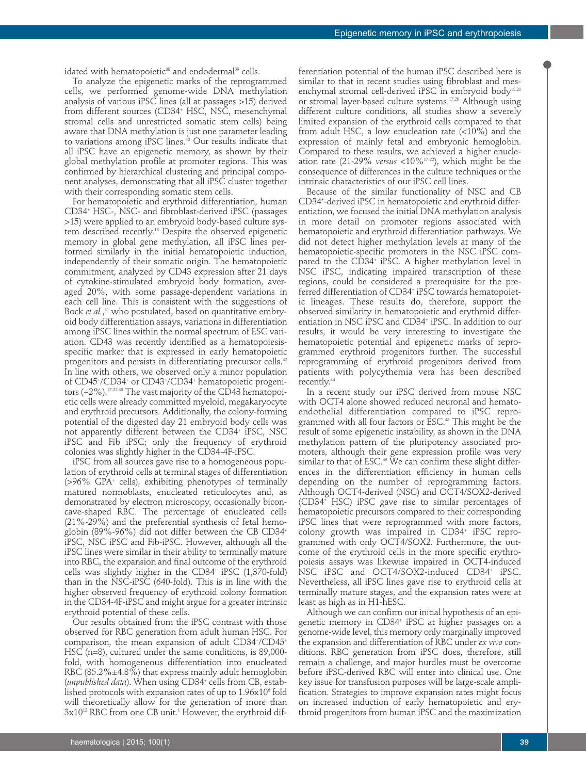idated with hematopoietic $38$  and endodermal $39$  cells.

To analyze the epigenetic marks of the reprogrammed cells, we performed genome-wide DNA methylation analysis of various iPSC lines (all at passages >15) derived from different sources (CD34<sup>+</sup> HSC, NSC, mesenchymal stromal cells and unrestricted somatic stem cells) being aware that DNA methylation is just one parameter leading to variations among iPSC lines.<sup>40</sup> Our results indicate that all iPSC have an epigenetic memory, as shown by their global methylation profile at promoter regions. This was confirmed by hierarchical clustering and principal component analyses, demonstrating that all iPSC cluster together with their corresponding somatic stem cells.

For hematopoietic and erythroid differentiation, human CD34+ HSC-, NSC- and fibroblast-derived iPSC (passages >15) were applied to an embryoid body-based culture system described recently.18 Despite the observed epigenetic memory in global gene methylation, all iPSC lines performed similarly in the initial hematopoietic induction, independently of their somatic origin. The hematopoietic commitment, analyzed by CD43 expression after 21 days of cytokine-stimulated embryoid body formation, averaged 20%, with some passage-dependent variations in each cell line. This is consistent with the suggestions of Bock *et al.*, <sup>41</sup> who postulated, based on quantitative embryoid body differentiation assays, variations in differentiation among iPSC lines within the normal spectrum of ESC variation. CD43 was recently identified as a hematopoiesisspecific marker that is expressed in early hematopoietic progenitors and persists in differentiating precursor cells.<sup>42</sup> In line with others, we observed only a minor population of CD45+ /CD34+ or CD43+ /CD34+ hematopoietic progenitors  $(-2\%)$ .<sup>17-22,43</sup> The vast majority of the CD43 hematopoietic cells were already committed myeloid, megakaryocyte and erythroid precursors. Additionally, the colony-forming potential of the digested day 21 embryoid body cells was not apparently different between the CD34+ iPSC, NSC iPSC and Fib iPSC; only the frequency of erythroid colonies was slightly higher in the CD34-4F-iPSC.

iPSC from all sources gave rise to a homogeneous population of erythroid cells at terminal stages of differentiation  $(>96\%$  GPA<sup>+</sup> cells), exhibiting phenotypes of terminally matured normoblasts, enucleated reticulocytes and, as demonstrated by electron microscopy, occasionally biconcave-shaped RBC. The percentage of enucleated cells (21%-29%) and the preferential synthesis of fetal hemoglobin (89%-96%) did not differ between the CB CD34+ iPSC, NSC iPSC and Fib-iPSC. However, although all the iPSC lines were similar in their ability to terminally mature into RBC, the expansion and final outcome of the erythroid cells was slightly higher in the  $CD34$ <sup>+</sup> iPSC  $(1,370$ -fold) than in the NSC-iPSC (640-fold). This is in line with the higher observed frequency of erythroid colony formation in the CD34-4F-iPSC and might argue for a greater intrinsic erythroid potential of these cells.

Our results obtained from the iPSC contrast with those observed for RBC generation from adult human HSC. For comparison, the mean expansion of adult CD34+ /CD45+ HSC (n=8), cultured under the same conditions, is 89,000 fold, with homogeneous differentiation into enucleated RBC (85.2% $\pm$ 4.8%) that express mainly adult hemoglobin (*unpublished data*). When using CD34+ cells from CB, established protocols with expansion rates of up to  $1.96x10^{\circ}$  fold will theoretically allow for the generation of more than 3x10<sup>12</sup> RBC from one CB unit.<sup>1</sup> However, the erythroid dif-

ferentiation potential of the human iPSC described here is similar to that in recent studies using fibroblast and mesenchymal stromal cell-derived iPSC in embryoid body<sup>18,21</sup> or stromal layer-based culture systems.17,20 Although using different culture conditions, all studies show a severely limited expansion of the erythroid cells compared to that from adult HSC, a low enucleation rate  $($ <10%) and the expression of mainly fetal and embryonic hemoglobin. Compared to these results, we achieved a higher enucleation rate (21-29% *versus* <10%17-22), which might be the consequence of differences in the culture techniques or the intrinsic characteristics of our iPSC cell lines.

Because of the similar functionality of NSC and CB CD34+ -derived iPSC in hematopoietic and erythroid differentiation, we focused the initial DNA methylation analysis in more detail on promoter regions associated with hematopoietic and erythroid differentiation pathways. We did not detect higher methylation levels at many of the hematopoietic-specific promoters in the NSC iPSC compared to the CD34<sup>+</sup> iPSC. A higher methylation level in NSC iPSC, indicating impaired transcription of these regions, could be considered a prerequisite for the preferred differentiation of CD34+ iPSC towards hematopoietic lineages. These results do, therefore, support the observed similarity in hematopoietic and erythroid differentiation in NSC iPSC and CD34+ iPSC. In addition to our results, it would be very interesting to investigate the hematopoietic potential and epigenetic marks of reprogrammed erythroid progenitors further. The successful reprogramming of erythroid progenitors derived from patients with polycythemia vera has been described recently.44

In a recent study our iPSC derived from mouse NSC with OCT4 alone showed reduced neuronal and hematoendothelial differentiation compared to iPSC reprogrammed with all four factors or ESC.<sup>45</sup> This might be the result of some epigenetic instability, as shown in the DNA methylation pattern of the pluripotency associated promoters, although their gene expression profile was very similar to that of ESC.<sup>46</sup> We can confirm these slight differences in the differentiation efficiency in human cells depending on the number of reprogramming factors. Although OCT4-derived (NSC) and OCT4/SOX2-derived (CD34+ HSC) iPSC gave rise to similar percentages of hematopoietic precursors compared to their corresponding iPSC lines that were reprogrammed with more factors, colony growth was impaired in CD34<sup>+</sup> iPSC reprogrammed with only OCT4/SOX2. Furthermore, the outcome of the erythroid cells in the more specific erythropoiesis assays was likewise impaired in OCT4-induced NSC iPSC and OCT4/SOX2-induced CD34<sup>+</sup> iPSC. Nevertheless, all iPSC lines gave rise to erythroid cells at terminally mature stages, and the expansion rates were at least as high as in H1-hESC.

Although we can confirm our initial hypothesis of an epigenetic memory in CD34+ iPSC at higher passages on a genome-wide level, this memory only marginally improved the expansion and differentiation of RBC under *ex vivo* conditions. RBC generation from iPSC does, therefore, still remain a challenge, and major hurdles must be overcome before iPSC-derived RBC will enter into clinical use. One key issue for transfusion purposes will be large-scale amplification. Strategies to improve expansion rates might focus on increased induction of early hematopoietic and erythroid progenitors from human iPSC and the maximization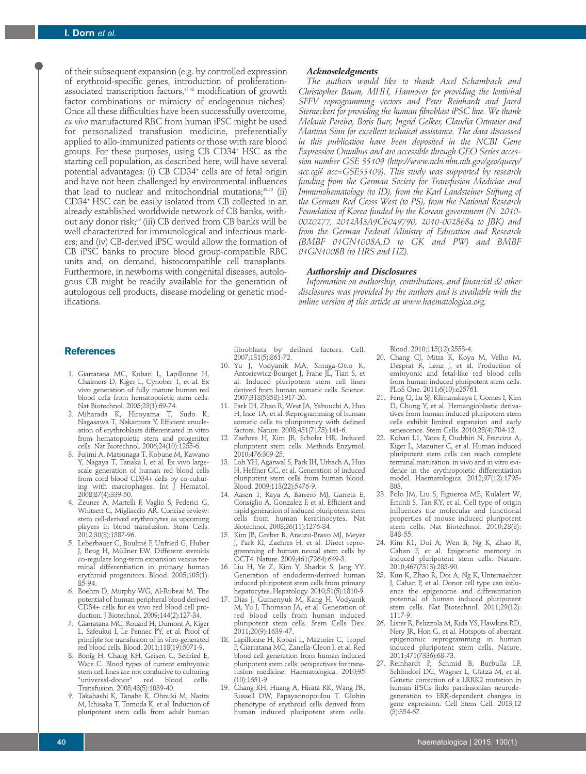of their subsequent expansion (e.g. by controlled expression of erythroid-specific genes, introduction of proliferationassociated transcription factors, $4^{\prime\prime,48}$  modification of growth factor combinations or mimicry of endogenous niches). Once all these difficulties have been successfully overcome, *ex vivo* manufactured RBC from human iPSC might be used for personalized transfusion medicine, preferentially applied to allo-immunized patients or those with rare blood groups. For these purposes, using CB CD34+ HSC as the starting cell population, as described here, will have several potential advantages: (i) CB CD34<sup>+</sup> cells are of fetal origin and have not been challenged by environmental influences that lead to nuclear and mitochondrial mutations; $49,50$  (ii) CD34+ HSC can be easily isolated from CB collected in an already established worldwide network of CB banks, without any donor risk;<sup>50</sup> (iii) CB derived from CB banks will be well characterized for immunological and infectious markers; and (iv) CB-derived iPSC would allow the formation of CB iPSC banks to procure blood group-compatible RBC units and, on demand, histocompatible cell transplants. Furthermore, in newborns with congenital diseases, autologous CB might be readily available for the generation of autologous cell products, disease modeling or genetic modifications.

#### *Acknowledgments*

*The authors would like to thank Axel Schambach and Christopher Baum, MHH, Hannover for providing the lentiviral SFFV reprogramming vectors and Peter Reinhardt and Jared Sterneckert for providing the human fibroblast iPSC line. We thank Melanie Pereira, Boris Burr, Ingrid Gelker, Claudia Ortmeier and Martina Sinn for excellent technical assistance. The data discussed in this publication have been deposited in the NCBI Gene Expression Omnibus and are accessible through GEO Series accession number GSE 55109 (http://www.ncbi.nlm.nih.gov/geo/query/ acc.cgi? acc=GSE55109). This study was supported by research funding from the German Society for Transfusion Medicine and Immunohematology (to ID), from the Karl Landsteiner Stiftung of the German Red Cross West (to PS), from the National Research Foundation of Korea funded by the Korean government (N. 2010- 0020277, 2012M3A9C6049790, 2010-0028684 to JBK) and from the German Federal Ministry of Education and Research (BMBF 01GN1008A,D to GK and PW) and BMBF 01GN1008B (to HRS and HZ).* 

### *Authorship and Disclosures*

*Information on authorship, contributions, and financial & other disclosures was provided by the authors and is available with the online version of this article at www.haematologica.org.*

## **References**

- 1. Giarratana MC, Kobari L, Lapillonne H, Chalmers D, Kiger L, Cynober T, et al. Ex vivo generation of fully mature human red blood cells from hematopoietic stem cells. Nat Biotechnol. 2005;23(1):69-74.
- 2. Miharada K, Hiroyama T, Sudo K, Nagasawa T, Nakamura Y. Efficient enucleation of erythroblasts differentiated in vitro from hematopoietic stem and progenitor cells. Nat Biotechnol. 2006;24(10):1255-6.
- 3. Fujimi A, Matsunaga T, Kobune M, Kawano Y, Nagaya T, Tanaka I, et al. Ex vivo largescale generation of human red blood cells from cord blood CD34+ cells by co-culturing with macrophages. Int J Hematol. 2008;87(4):339-50.
- 4. Zeuner A, Martelli F, Vaglio S, Federici G, Whitsett C, Migliaccio AR. Concise review: stem cell-derived erythrocytes as upcoming players in blood transfusion. Stem Cells. 2012;30(8):1587-96.
- 5. Leberbauer C, Boulmé F, Unfried G, Huber J, Beug H, Müllner EW. Different steroids co-regulate long-term expansion versus terminal differentiation in primary human erythroid progenitors. Blood. 2005;105(1): 85-94.
- 6. Boehm D, Murphy WG, Al-Rubeai M. The potential of human peripheral blood derived CD34+ cells for ex vivo red blood cell production. J Biotechnol. 2009;144(2):127-34.
- 7. Giarratana MC, Rouard H, Dumont A, Kiger L, Safeukui I, Le Pennec PY, et al. Proof of principle for transfusion of in vitro-generated red blood cells. Blood. 2011;118(19):5071-9.
- 8. Bonig H, Chang KH, Geisen C, Seifried E, Ware C. Blood types of current embryonic stem cell lines are not conducive to culturing "universal-donor" Transfusion. 2008;48(5):1039-40.
- 9. Takahashi K, Tanabe K, Ohnuki M, Narita M, Ichisaka T, Tomoda K, et al. Induction of pluripotent stem cells from adult human

fibroblasts by defined factors. Cell. 2007;131(5):861-72.

- 10. Yu J, Vodyanik MA, Smuga-Otto K, Antosiewicz-Bourget J, Frane JL, Tian S, et al. Induced pluripotent stem cell lines derived from human somatic cells. Science. 2007;318(5858):1917-20.
- 11. Park IH, Zhao R, West JA, Yabuuchi A, Huo H, Ince TA, et al. Reprogramming of human somatic cells to pluripotency with defined factors. Nature. 2008;451(7175):141-6.
- 12. Zaehres H, Kim JB, Scholer HR. Induced pluripotent stem cells. Methods Enzymol. 2010;476:309-25.
- 13. Loh YH, Agarwal S, Park IH, Urbach A, Huo H, Heffner GC, et al. Generation of induced pluripotent stem cells from human blood. Blood. 2009;113(22):5476-9.
- 14. Aasen T, Raya A, Barrero MJ, Garreta E, Consiglio A, Gonzalez F, et al. Efficient and rapid generation of induced pluripotent stem cells from human keratinocytes. Nat Biotechnol. 2008;26(11):1276-84.
- 15. Kim JB, Greber B, Arauzo-Bravo MJ, Meyer J, Park KI, Zaehres H, et al. Direct reprogramming of human neural stem cells by OCT4. Nature. 2009;461(7264):649-3.
- 16. Liu H, Ye Z, Kim Y, Sharkis S, Jang YY. Generation of endoderm-derived human induced pluripotent stem cells from primary hepatocytes. Hepatology. 2010;51(5):1810-9.
- 17. Dias J, Gumenyuk M, Kang H, Vodyanik M, Yu J, Thomson JA, et al. Generation of red blood cells from human induced pluripotent stem cells. Stem Cells Dev. 2011;20(9):1639-47.
- 18. Lapillonne H, Kobari L, Mazurier C, Tropel P, Giarratana MC, Zanella-Cleon I, et al. Red blood cell generation from human induced pluripotent stem cells: perspectives for transfusion medicine. Haematologica. 2010;95 (10):1651-9.
- 19. Chang KH, Huang A, Hirata RK, Wang PR, Russell DW, Papayannopoulou T. Globin phenotype of erythroid cells derived from human induced pluripotent stem cells.

Blood. 2010;115(12):2553-4.

- 20. Chang CJ, Mitra K, Koya M, Velho M, Desprat R, Lenz J, et al. Production of embryonic and fetal-like red blood cells from human induced pluripotent stem cells. PLoS One. 2011;6(10):e25761.
- 21. Feng Q, Lu SJ, Klimanskaya I, Gomes I, Kim D, Chung Y, et al. Hemangioblastic derivatives from human induced pluripotent stem cells exhibit limited expansion and early senescence. Stem Cells. 2010;28(4):704-12.
- 22. Kobari L1, Yates F, Oudrhiri N, Francina A, Kiger L, Mazurier C, et al. Human induced pluripotent stem cells can reach complete terminal maturation: in vivo and in vitro evidence in the erythropoietic differentiation model. Haematologica. 2012;97(12):1795- 803.
- 23. Polo JM, Liu S, Figueroa ME, Kulalert W, Eminli S, Tan KY, et al. Cell type of origin influences the molecular and functional properties of mouse induced pluripotent stem cells. Nat Biotechnol. 2010;28(8): 848-55.
- 24. Kim K1, Doi A, Wen B, Ng K, Zhao R, Cahan P, et al. Epigenetic memory in induced pluripotent stem cells. Nature. 2010;467(7313):285-90.
- 25. Kim K, Zhao R, Doi A, Ng K, Unternaehrer J, Cahan P, et al. Donor cell type can influence the epigenome and differentiation potential of human induced pluripotent stem cells. Nat Biotechnol. 2011;29(12): 1117-9.
- 26. Lister R, Pelizzola M, Kida YS, Hawkins RD, Nery JR, Hon G, et al. Hotspots of aberrant epigenomic reprogramming in human induced pluripotent stem cells. Nature. 2011;471(7336):68-73.
- 27. Reinhardt P, Schmid B, Burbulla LF, Schöndorf DC, Wagner L, Glatza M, et al. Genetic correction of a LRRK2 mutation in human iPSCs links parkinsonian neurodegeneration to ERK-dependent changes in gene expression. Cell Stem Cell. 2013;12 (3):354-67.